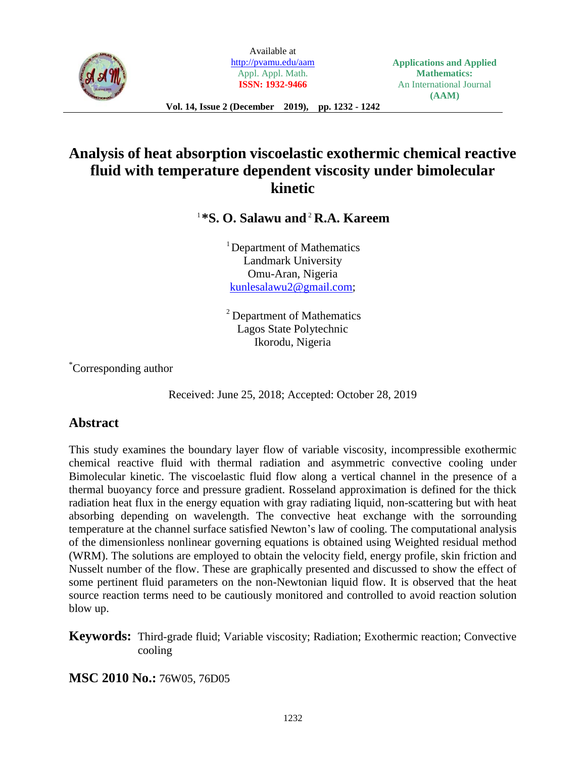

Available at <http://pvamu.edu/aam> Appl. Appl. Math. **ISSN: 1932-9466**

# **Analysis of heat absorption viscoelastic exothermic chemical reactive fluid with temperature dependent viscosity under bimolecular kinetic**

1 **\*S. O. Salawu and** 2 **R.A. Kareem**

<sup>1</sup>Department of Mathematics Landmark University Omu-Aran, Nigeria [kunlesalawu2@gmail.com;](mailto:kunlesalawu2@gmail.com)

<sup>2</sup> Department of Mathematics Lagos State Polytechnic Ikorodu, Nigeria

\*Corresponding author

Received: June 25, 2018; Accepted: October 28, 2019

## **Abstract**

This study examines the boundary layer flow of variable viscosity, incompressible exothermic chemical reactive fluid with thermal radiation and asymmetric convective cooling under Bimolecular kinetic. The viscoelastic fluid flow along a vertical channel in the presence of a thermal buoyancy force and pressure gradient. Rosseland approximation is defined for the thick radiation heat flux in the energy equation with gray radiating liquid, non-scattering but with heat absorbing depending on wavelength. The convective heat exchange with the sorrounding temperature at the channel surface satisfied Newton's law of cooling. The computational analysis of the dimensionless nonlinear governing equations is obtained using Weighted residual method (WRM). The solutions are employed to obtain the velocity field, energy profile, skin friction and Nusselt number of the flow. These are graphically presented and discussed to show the effect of some pertinent fluid parameters on the non-Newtonian liquid flow. It is observed that the heat source reaction terms need to be cautiously monitored and controlled to avoid reaction solution blow up.

**Keywords:** Third-grade fluid; Variable viscosity; Radiation; Exothermic reaction; Convective cooling

**MSC 2010 No.:** 76W05, 76D05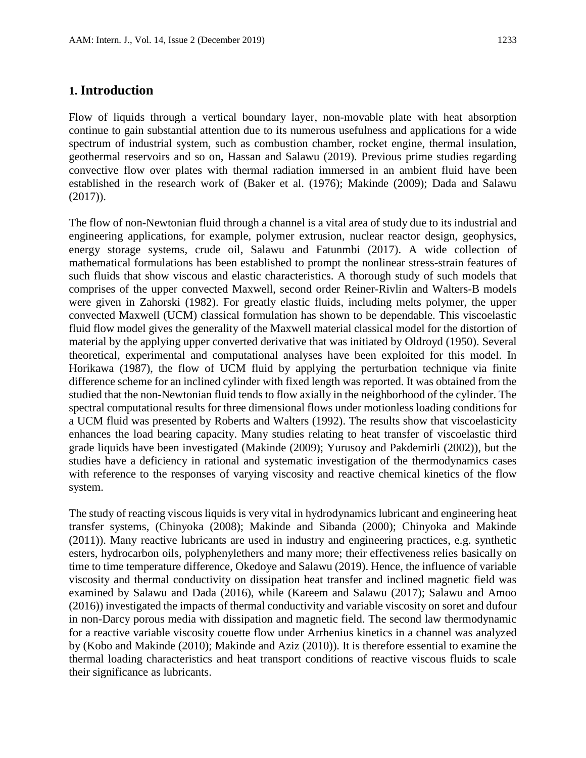#### **1. Introduction**

Flow of liquids through a vertical boundary layer, non-movable plate with heat absorption continue to gain substantial attention due to its numerous usefulness and applications for a wide spectrum of industrial system, such as combustion chamber, rocket engine, thermal insulation, geothermal reservoirs and so on, Hassan and Salawu (2019). Previous prime studies regarding convective flow over plates with thermal radiation immersed in an ambient fluid have been established in the research work of (Baker et al. (1976); Makinde (2009); Dada and Salawu (2017)).

The flow of non-Newtonian fluid through a channel is a vital area of study due to its industrial and engineering applications, for example, polymer extrusion, nuclear reactor design, geophysics, energy storage systems, crude oil, Salawu and Fatunmbi (2017). A wide collection of mathematical formulations has been established to prompt the nonlinear stress-strain features of such fluids that show viscous and elastic characteristics. A thorough study of such models that comprises of the upper convected Maxwell, second order Reiner-Rivlin and Walters-B models were given in Zahorski (1982). For greatly elastic fluids, including melts polymer, the upper convected Maxwell (UCM) classical formulation has shown to be dependable. This viscoelastic fluid flow model gives the generality of the Maxwell material classical model for the distortion of material by the applying upper converted derivative that was initiated by Oldroyd (1950). Several theoretical, experimental and computational analyses have been exploited for this model. In Horikawa (1987), the flow of UCM fluid by applying the perturbation technique via finite difference scheme for an inclined cylinder with fixed length was reported. It was obtained from the studied that the non-Newtonian fluid tends to flow axially in the neighborhood of the cylinder. The spectral computational results for three dimensional flows under motionless loading conditions for a UCM fluid was presented by Roberts and Walters (1992). The results show that viscoelasticity enhances the load bearing capacity. Many studies relating to heat transfer of viscoelastic third grade liquids have been investigated (Makinde (2009); Yurusoy and Pakdemirli (2002)), but the studies have a deficiency in rational and systematic investigation of the thermodynamics cases with reference to the responses of varying viscosity and reactive chemical kinetics of the flow system.

The study of reacting viscous liquids is very vital in hydrodynamics lubricant and engineering heat transfer systems, (Chinyoka (2008); Makinde and Sibanda (2000); Chinyoka and Makinde (2011)). Many reactive lubricants are used in industry and engineering practices, e.g. synthetic esters, hydrocarbon oils, polyphenylethers and many more; their effectiveness relies basically on time to time temperature difference, Okedoye and Salawu (2019). Hence, the influence of variable viscosity and thermal conductivity on dissipation heat transfer and inclined magnetic field was examined by Salawu and Dada (2016), while (Kareem and Salawu (2017); Salawu and Amoo (2016)) investigated the impacts of thermal conductivity and variable viscosity on soret and dufour in non-Darcy porous media with dissipation and magnetic field. The second law thermodynamic for a reactive variable viscosity couette flow under Arrhenius kinetics in a channel was analyzed by (Kobo and Makinde (2010); Makinde and Aziz (2010)). It is therefore essential to examine the thermal loading characteristics and heat transport conditions of reactive viscous fluids to scale their significance as lubricants.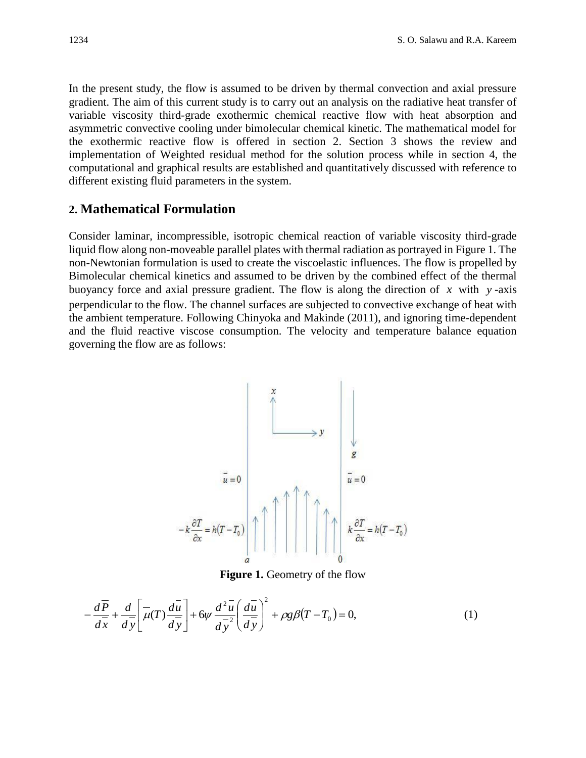In the present study, the flow is assumed to be driven by thermal convection and axial pressure gradient. The aim of this current study is to carry out an analysis on the radiative heat transfer of variable viscosity third-grade exothermic chemical reactive flow with heat absorption and asymmetric convective cooling under bimolecular chemical kinetic. The mathematical model for the exothermic reactive flow is offered in section 2. Section 3 shows the review and implementation of Weighted residual method for the solution process while in section 4, the computational and graphical results are established and quantitatively discussed with reference to different existing fluid parameters in the system.

#### **2. Mathematical Formulation**

Consider laminar, incompressible, isotropic chemical reaction of variable viscosity third-grade liquid flow along non-moveable parallel plates with thermal radiation as portrayed in Figure 1. The non-Newtonian formulation is used to create the viscoelastic influences. The flow is propelled by Bimolecular chemical kinetics and assumed to be driven by the combined effect of the thermal buoyancy force and axial pressure gradient. The flow is along the direction of  $x$  with  $y$ -axis perpendicular to the flow. The channel surfaces are subjected to convective exchange of heat with the ambient temperature. Following Chinyoka and Makinde (2011), and ignoring time-dependent and the fluid reactive viscose consumption. The velocity and temperature balance equation governing the flow are as follows:



**Figure 1.** Geometry of the flow

$$
-\frac{d\overline{P}}{d\overline{x}} + \frac{d}{d\overline{y}} \left[ \overline{\mu}(T) \frac{d\overline{u}}{d\overline{y}} \right] + 6\psi \frac{d^2 \overline{u}}{d\overline{y}^2} \left( \frac{d\overline{u}}{d\overline{y}} \right)^2 + \rho g \beta (T - T_0) = 0, \tag{1}
$$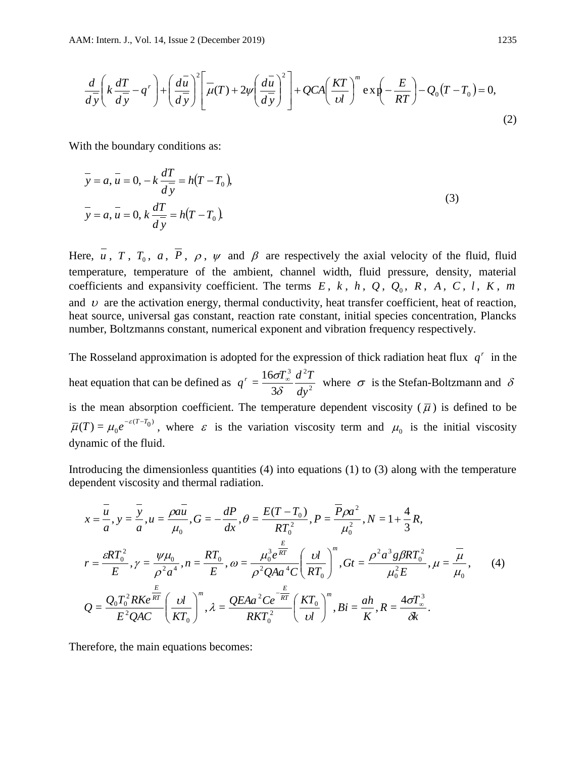$$
\frac{d}{d\overline{y}}\left(k\frac{dT}{d\overline{y}}-q^r\right)+\left(\frac{d\overline{u}}{d\overline{y}}\right)^2\left[\overline{\mu}(T)+2\psi\left(\frac{d\overline{u}}{d\overline{y}}\right)^2\right]+QCA\left(\frac{KT}{\nu l}\right)^m\exp\left(-\frac{E}{RT}\right)-Q_0(T-T_0)=0,
$$
\n(2)

With the boundary conditions as:

$$
\overline{y} = a, \overline{u} = 0, -k \frac{dT}{d\overline{y}} = h(T - T_0),
$$
  
\n
$$
\overline{y} = a, \overline{u} = 0, k \frac{dT}{d\overline{y}} = h(T - T_0).
$$
\n(3)

Here, *u*, *T*, *T*<sub>0</sub>, *a*, *P*,  $\rho$ ,  $\psi$  and  $\beta$  are respectively the axial velocity of the fluid, fluid temperature, temperature of the ambient, channel width, fluid pressure, density, material coefficients and expansivity coefficient. The terms  $E, k, h, Q, Q_0, R, A, C, l, K, m$ and  $\upsilon$  are the activation energy, thermal conductivity, heat transfer coefficient, heat of reaction, heat source, universal gas constant, reaction rate constant, initial species concentration, Plancks number, Boltzmanns constant, numerical exponent and vibration frequency respectively.

The Rosseland approximation is adopted for the expression of thick radiation heat flux  $q^r$  in the heat equation that can be defined as  $q^r = \frac{160I_{\infty}}{3.8} \frac{a}{\sqrt{1.2}}$  $3 \overline{d}^2$ 3  $=$  $\frac{16}{1}$ *dy*  $q^r = \frac{16\sigma T_{\infty}^3}{2r^2} \frac{d^2T}{r^2}$ δ  $\frac{\sigma I_{\infty}}{\sigma I_{\infty}} \frac{d^{2}I}{dt^{2}}$  where  $\sigma$  is the Stefan-Boltzmann and  $\delta$ is the mean absorption coefficient. The temperature dependent viscosity  $(\bar{\mu})$  is defined to be  $\overline{\mu}(T) = \mu_0 e^{-\varepsilon (T-T_0)}$ , where  $\varepsilon$  is the variation viscosity term and  $\mu_0$  is the initial viscosity dynamic of the fluid.

Introducing the dimensionless quantities  $(4)$  into equations  $(1)$  to  $(3)$  along with the temperature dependent viscosity and thermal radiation.

$$
x = \frac{\overline{u}}{a}, y = \frac{\overline{y}}{a}, u = \frac{\rho a \overline{u}}{\mu_0}, G = -\frac{dP}{dx}, \theta = \frac{E(T - T_0)}{RT_0^2}, P = \frac{\overline{P} \rho a^2}{\mu_0^2}, N = 1 + \frac{4}{3} R,
$$
  
\n
$$
r = \frac{\varepsilon RT_0^2}{E}, \gamma = \frac{\psi \mu_0}{\rho^2 a^4}, n = \frac{RT_0}{E}, \omega = \frac{\mu_0^3 e^{\overline{RT}}}{\rho^2 Q A a^4 C} \left(\frac{U}{RT_0}\right)^m, G t = \frac{\rho^2 a^3 g \beta RT_0^2}{\mu_0^2 E}, \mu = \frac{\overline{\mu}}{\mu_0}, \qquad (4)
$$
  
\n
$$
Q = \frac{Q_0 T_0^2 R K e^{\frac{E}{RT}}}{E^2 Q A C} \left(\frac{U}{KT_0}\right)^m, \lambda = \frac{Q E A a^2 C e^{-\frac{E}{RT}}}{RKT_0^2} \left(\frac{KT_0}{U} \right)^m, Bi = \frac{ah}{K}, R = \frac{4\sigma T_{\infty}^3}{\delta k}.
$$

Therefore, the main equations becomes: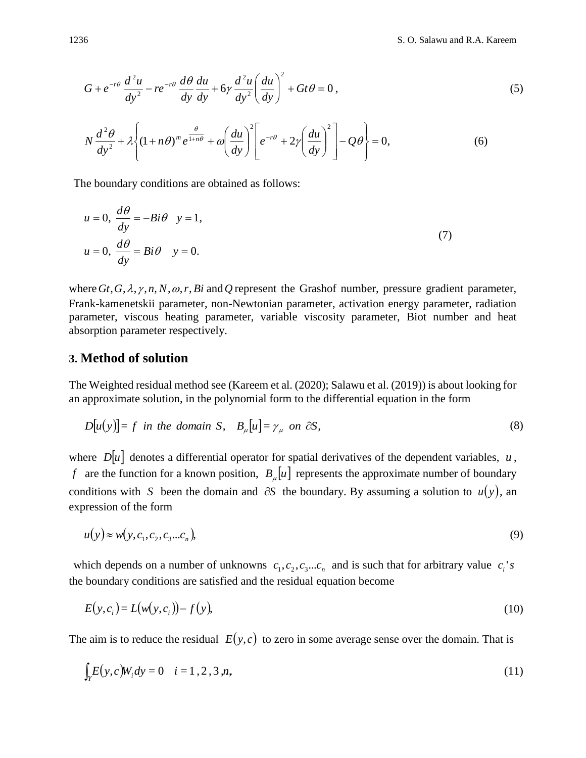$$
G + e^{-r\theta} \frac{d^2 u}{dy^2} - r e^{-r\theta} \frac{d\theta}{dy} \frac{du}{dy} + 6\gamma \frac{d^2 u}{dy^2} \left(\frac{du}{dy}\right)^2 + Gt\theta = 0,
$$
\n(5)

$$
N\frac{d^2\theta}{dy^2} + \lambda \left\{ (1+n\theta)^m e^{\frac{\theta}{1+n\theta}} + \omega \left( \frac{du}{dy} \right)^2 \left[ e^{-r\theta} + 2\gamma \left( \frac{du}{dy} \right)^2 \right] - Q\theta \right\} = 0,
$$
\n(6)

The boundary conditions are obtained as follows:

$$
u = 0, \frac{d\theta}{dy} = -Bi\theta \quad y = 1,
$$
  

$$
u = 0, \frac{d\theta}{dy} = Bi\theta \quad y = 0.
$$
 (7)

where  $G_t$ ,  $G$ ,  $\lambda$ ,  $\gamma$ ,  $n$ ,  $N$ ,  $\omega$ ,  $r$ ,  $Bi$  and  $Q$  represent the Grashof number, pressure gradient parameter, Frank-kamenetskii parameter, non-Newtonian parameter, activation energy parameter, radiation parameter, viscous heating parameter, variable viscosity parameter, Biot number and heat absorption parameter respectively.

#### **3. Method of solution**

The Weighted residual method see (Kareem et al. (2020); Salawu et al. (2019)) is about looking for an approximate solution, in the polynomial form to the differential equation in the form

$$
D[u(y)] = f \text{ in the domain } S, \quad B_{\mu}[u] = \gamma_{\mu} \text{ on } \partial S,
$$
 (8)

where  $D|u|$  denotes a differential operator for spatial derivatives of the dependent variables,  $u$ , *f* are the function for a known position,  $B_\mu[u]$  represents the approximate number of boundary conditions with S been the domain and  $\partial S$  the boundary. By assuming a solution to  $u(y)$ , an expression of the form

$$
u(y) \approx w(y, c_1, c_2, c_3 \dots c_n), \tag{9}
$$

which depends on a number of unknowns  $c_1, c_2, c_3...c_n$  and is such that for arbitrary value  $c_i$ 's the boundary conditions are satisfied and the residual equation become

$$
E(y,c_i) = L(w(y,c_i)) - f(y),\tag{10}
$$

The aim is to reduce the residual  $E(y, c)$  to zero in some average sense over the domain. That is

$$
\int_{Y} E(y, c) W_i dy = 0 \quad i = 1, 2, 3, n,
$$
\n(11)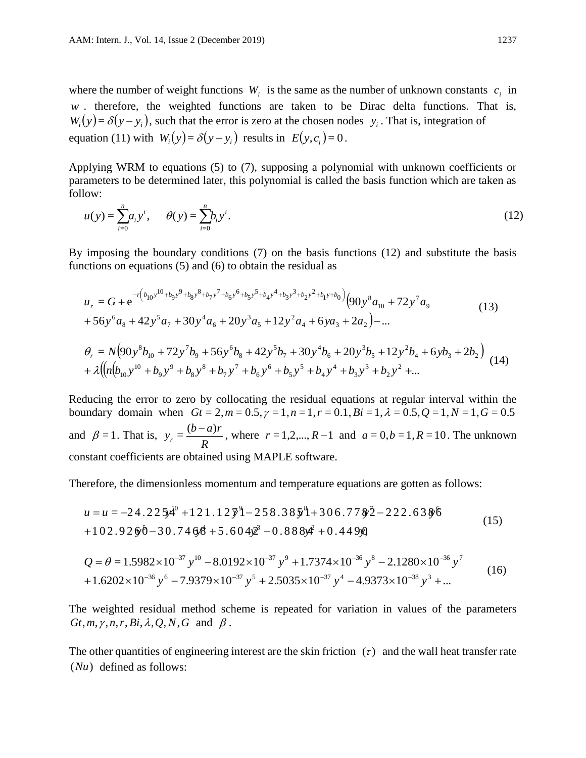where the number of weight functions  $W_i$  is the same as the number of unknown constants  $c_i$  in w . therefore, the weighted functions are taken to be Dirac delta functions. That is,  $W_i(y) = \delta(y - y_i)$ , such that the error is zero at the chosen nodes  $y_i$ . That is, integration of equation (11) with  $W_i(y) = \delta(y - y_i)$  results in  $E(y, c_i) = 0$ .

Applying WRM to equations (5) to (7), supposing a polynomial with unknown coefficients or parameters to be determined later, this polynomial is called the basis function which are taken as follow:

$$
u(y) = \sum_{i=0}^{n} a_i y^i, \qquad \theta(y) = \sum_{i=0}^{n} b_i y^i.
$$
 (12)

By imposing the boundary conditions (7) on the basis functions (12) and substitute the basis functions on equations (5) and (6) to obtain the residual as

$$
u_r = G + e^{-r(b_{10}y^{10} + b_9y^9 + b_8y^8 + b_7y^7 + b_6y^6 + b_5y^5 + b_4y^4 + b_3y^3 + b_2y^2 + b_1y + b_0)}(90y^8a_{10} + 72y^7a_9 + 56y^6a_8 + 42y^5a_7 + 30y^4a_6 + 20y^3a_5 + 12y^2a_4 + 6ya_3 + 2a_2) - \dots
$$
\n(13)

$$
\theta_r = N(90y^8b_{10} + 72y^7b_9 + 56y^6b_8 + 42y^5b_7 + 30y^4b_6 + 20y^3b_5 + 12y^2b_4 + 6yb_3 + 2b_2) + \lambda \left( \left(n(b_{10}y^{10} + b_9y^9 + b_8y^8 + b_7y^7 + b_6y^6 + b_5y^5 + b_4y^4 + b_3y^3 + b_2y^2 + \dots \right) \right)
$$
 (14)

Reducing the error to zero by collocating the residual equations at regular interval within the boundary domain when  $Gt = 2, m = 0.5, \gamma = 1, n = 1, r = 0.1, Bi = 1, \lambda = 0.5, Q = 1, N = 1, G = 0.5$ and  $\beta = 1$ . That is, *R*  $y_r = \frac{(b-a)r}{R}$ , where  $r = 1, 2, ..., R-1$  and  $a = 0, b = 1, R = 10$ . The unknown constant coefficients are obtained using MAPLE software.

Therefore, the dimensionless momentum and temperature equations are gotten as follows:

$$
u = u = -24.225x^{4} + 121.12\overline{y}^2 - 258.38\overline{y}^8 + 306.77\overline{y}^2 - 222.63\overline{y}^6
$$
  
+102.9260 - 30.7468 + 5.604 $\overline{y}^2$  - 0.888 $\overline{y}^2$  + 0.4490

$$
Q = \theta = 1.5982 \times 10^{-37} y^{10} - 8.0192 \times 10^{-37} y^9 + 1.7374 \times 10^{-36} y^8 - 2.1280 \times 10^{-36} y^7 + 1.6202 \times 10^{-36} y^6 - 7.9379 \times 10^{-37} y^5 + 2.5035 \times 10^{-37} y^4 - 4.9373 \times 10^{-38} y^3 + ...
$$
 (16)

The weighted residual method scheme is repeated for variation in values of the parameters  $G_t, m, \gamma, n, r, Bi, \lambda, Q, N, G$  and  $\beta$ .

The other quantities of engineering interest are the skin friction  $(\tau)$  and the wall heat transfer rate (*Nu*) defined as follows: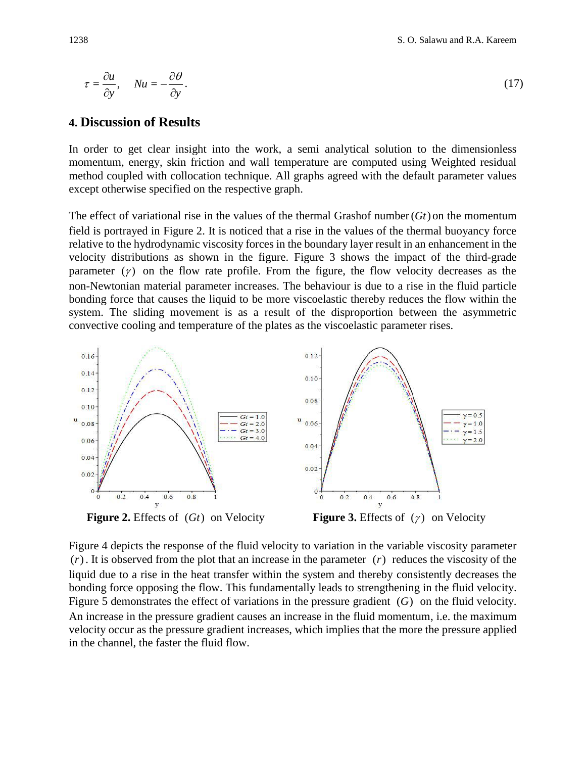$$
\tau = \frac{\partial u}{\partial y}, \quad Nu = -\frac{\partial \theta}{\partial y}.
$$
\n(17)

#### **4. Discussion of Results**

In order to get clear insight into the work, a semi analytical solution to the dimensionless momentum, energy, skin friction and wall temperature are computed using Weighted residual method coupled with collocation technique. All graphs agreed with the default parameter values except otherwise specified on the respective graph.

The effect of variational rise in the values of the thermal Grashof number  $(Gt)$  on the momentum field is portrayed in Figure 2. It is noticed that a rise in the values of the thermal buoyancy force relative to the hydrodynamic viscosity forces in the boundary layer result in an enhancement in the velocity distributions as shown in the figure. Figure 3 shows the impact of the third-grade parameter  $(y)$  on the flow rate profile. From the figure, the flow velocity decreases as the non-Newtonian material parameter increases. The behaviour is due to a rise in the fluid particle bonding force that causes the liquid to be more viscoelastic thereby reduces the flow within the system. The sliding movement is as a result of the disproportion between the asymmetric convective cooling and temperature of the plates as the viscoelastic parameter rises.



Figure 4 depicts the response of the fluid velocity to variation in the variable viscosity parameter (*r*) . It is observed from the plot that an increase in the parameter (*r*) reduces the viscosity of the liquid due to a rise in the heat transfer within the system and thereby consistently decreases the bonding force opposing the flow. This fundamentally leads to strengthening in the fluid velocity. Figure 5 demonstrates the effect of variations in the pressure gradient (G) on the fluid velocity. An increase in the pressure gradient causes an increase in the fluid momentum, i.e. the maximum velocity occur as the pressure gradient increases, which implies that the more the pressure applied in the channel, the faster the fluid flow.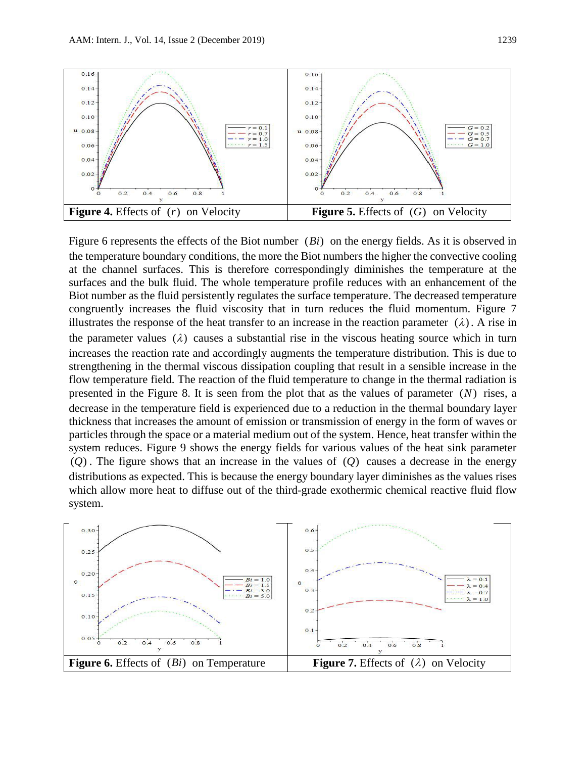

Figure 6 represents the effects of the Biot number (*Bi*) on the energy fields. As it is observed in the temperature boundary conditions, the more the Biot numbers the higher the convective cooling at the channel surfaces. This is therefore correspondingly diminishes the temperature at the surfaces and the bulk fluid. The whole temperature profile reduces with an enhancement of the Biot number as the fluid persistently regulates the surface temperature. The decreased temperature congruently increases the fluid viscosity that in turn reduces the fluid momentum. Figure 7 illustrates the response of the heat transfer to an increase in the reaction parameter  $(\lambda)$ . A rise in the parameter values  $(\lambda)$  causes a substantial rise in the viscous heating source which in turn increases the reaction rate and accordingly augments the temperature distribution. This is due to strengthening in the thermal viscous dissipation coupling that result in a sensible increase in the flow temperature field. The reaction of the fluid temperature to change in the thermal radiation is presented in the Figure 8. It is seen from the plot that as the values of parameter (*N*) rises, a decrease in the temperature field is experienced due to a reduction in the thermal boundary layer thickness that increases the amount of emission or transmission of energy in the form of waves or particles through the space or a material medium out of the system. Hence, heat transfer within the system reduces. Figure 9 shows the energy fields for various values of the heat sink parameter (*Q*) . The figure shows that an increase in the values of (*Q*) causes a decrease in the energy distributions as expected. This is because the energy boundary layer diminishes as the values rises which allow more heat to diffuse out of the third-grade exothermic chemical reactive fluid flow system.

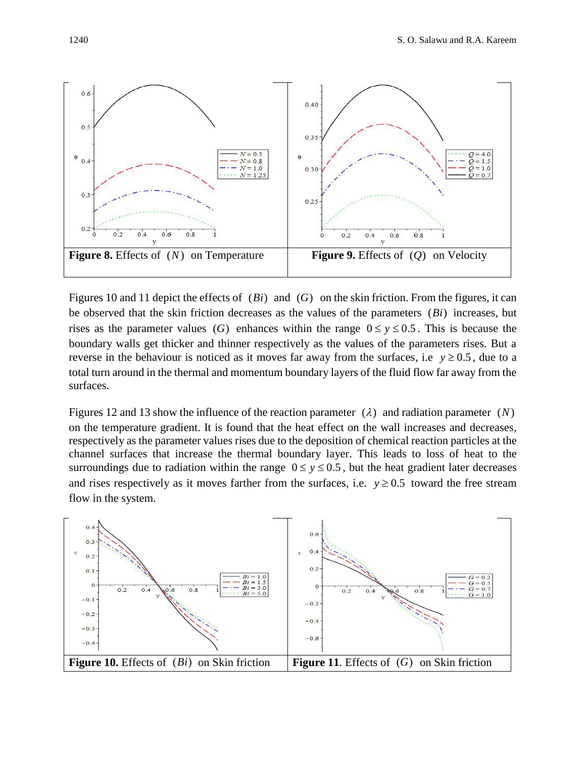

Figures 10 and 11 depict the effects of  $(Bi)$  and  $(G)$  on the skin friction. From the figures, it can be observed that the skin friction decreases as the values of the parameters (*Bi*) increases, but rises as the parameter values (G) enhances within the range  $0 \le y \le 0.5$ . This is because the boundary walls get thicker and thinner respectively as the values of the parameters rises. But a reverse in the behaviour is noticed as it moves far away from the surfaces, i.e  $y \ge 0.5$ , due to a total turn around in the thermal and momentum boundary layers of the fluid flow far away from the surfaces.

Figures 12 and 13 show the influence of the reaction parameter  $(\lambda)$  and radiation parameter  $(N)$ on the temperature gradient. It is found that the heat effect on the wall increases and decreases, respectively as the parameter values rises due to the deposition of chemical reaction particles at the channel surfaces that increase the thermal boundary layer. This leads to loss of heat to the surroundings due to radiation within the range  $0 \le y \le 0.5$ , but the heat gradient later decreases and rises respectively as it moves farther from the surfaces, i.e.  $y \ge 0.5$  toward the free stream flow in the system.

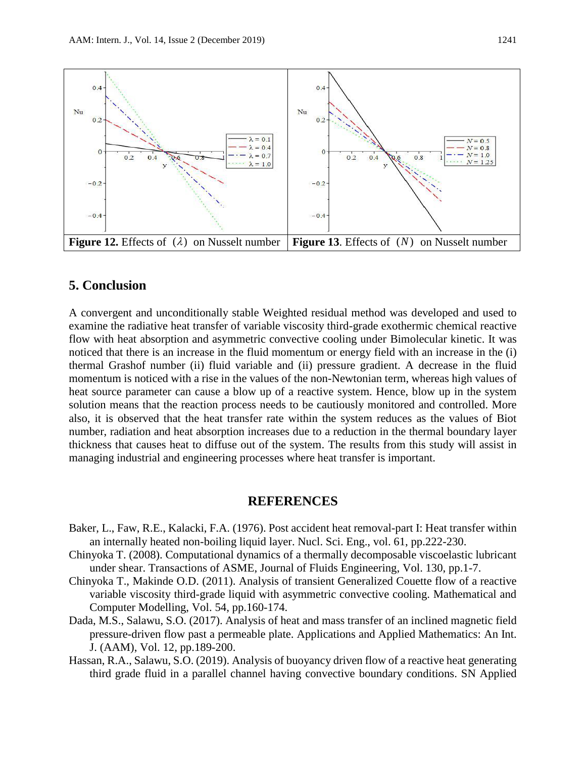

### **5. Conclusion**

A convergent and unconditionally stable Weighted residual method was developed and used to examine the radiative heat transfer of variable viscosity third-grade exothermic chemical reactive flow with heat absorption and asymmetric convective cooling under Bimolecular kinetic. It was noticed that there is an increase in the fluid momentum or energy field with an increase in the (i) thermal Grashof number (ii) fluid variable and (ii) pressure gradient. A decrease in the fluid momentum is noticed with a rise in the values of the non-Newtonian term, whereas high values of heat source parameter can cause a blow up of a reactive system. Hence, blow up in the system solution means that the reaction process needs to be cautiously monitored and controlled. More also, it is observed that the heat transfer rate within the system reduces as the values of Biot number, radiation and heat absorption increases due to a reduction in the thermal boundary layer thickness that causes heat to diffuse out of the system. The results from this study will assist in managing industrial and engineering processes where heat transfer is important.

#### **REFERENCES**

- Baker, L., Faw, R.E., Kalacki, F.A. (1976). Post accident heat removal-part I: Heat transfer within an internally heated non-boiling liquid layer. Nucl. Sci. Eng., vol. 61, pp.222-230.
- Chinyoka T. (2008). Computational dynamics of a thermally decomposable viscoelastic lubricant under shear. Transactions of ASME, Journal of Fluids Engineering, Vol. 130, pp.1-7.
- Chinyoka T., Makinde O.D. (2011). Analysis of transient Generalized Couette flow of a reactive variable viscosity third-grade liquid with asymmetric convective cooling. Mathematical and Computer Modelling, Vol. 54, pp.160-174.
- Dada, M.S., Salawu, S.O. (2017). Analysis of heat and mass transfer of an inclined magnetic field pressure-driven flow past a permeable plate. Applications and Applied Mathematics: An Int. J. (AAM), Vol. 12, pp.189-200.
- Hassan, R.A., Salawu, S.O. (2019). Analysis of buoyancy driven flow of a reactive heat generating third grade fluid in a parallel channel having convective boundary conditions. SN Applied